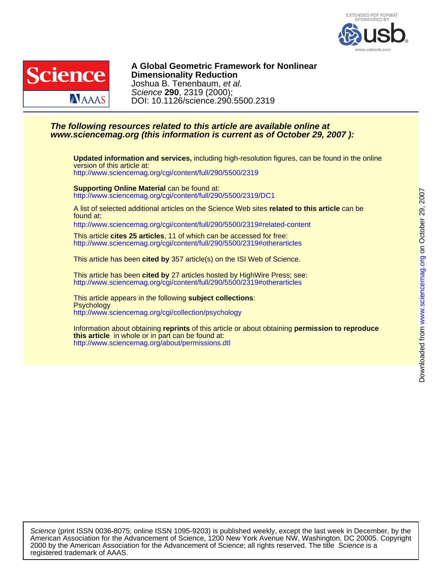



DOI: 10.1126/science.290.5500.2319 Science **290**, 2319 (2000); Joshua B. Tenenbaum, et al. **Dimensionality Reduction A Global Geometric Framework for Nonlinear**

### **www.sciencemag.org (this information is current as of October 29, 2007 ): The following resources related to this article are available online at**

<http://www.sciencemag.org/cgi/content/full/290/5500/2319> version of this article at: **Updated information and services,** including high-resolution figures, can be found in the online

<http://www.sciencemag.org/cgi/content/full/290/5500/2319/DC1> **Supporting Online Material** can be found at:

found at: A list of selected additional articles on the Science Web sites **related to this article** can be

<http://www.sciencemag.org/cgi/content/full/290/5500/2319#related-content>

<http://www.sciencemag.org/cgi/content/full/290/5500/2319#otherarticles> This article **cites 25 articles**, 11 of which can be accessed for free:

This article has been **cited by** 357 article(s) on the ISI Web of Science.

<http://www.sciencemag.org/cgi/content/full/290/5500/2319#otherarticles> This article has been **cited by** 27 articles hosted by HighWire Press; see:

<http://www.sciencemag.org/cgi/collection/psychology> **Psychology** This article appears in the following **subject collections**:

<http://www.sciencemag.org/about/permissions.dtl> **this article** in whole or in part can be found at: Information about obtaining **reprints** of this article or about obtaining **permission to reproduce**

registered trademark of AAAS. 2000 by the American Association for the Advancement of Science; all rights reserved. The title Science is a American Association for the Advancement of Science, 1200 New York Avenue NW, Washington, DC 20005. Copyright Science (print ISSN 0036-8075; online ISSN 1095-9203) is published weekly, except the last week in December, by the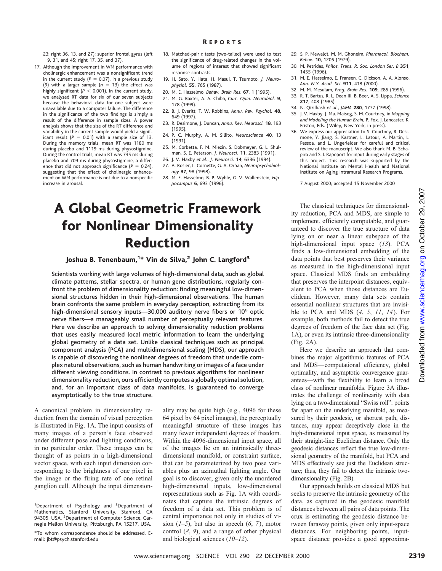23; right 36, 13, and 27); superior frontal gyrus (left 29, 31, and 45; right 17, 35, and 37).

- 17. Although the improvement in WM performance with cholinergic enhancement was a nonsignificant trend in the current study  $(P = 0.07)$ , in a previous study (9) with a larger sample  $(n = 13)$  the effect was highly significant ( $P < 0.001$ ). In the current study, we analyzed RT data for six of our seven subjects because the behavioral data for one subject were unavailable due to a computer failure. The difference in the significance of the two findings is simply a result of the difference in sample sizes. A power analysis shows that the size of the RT difference and variability in the current sample would yield a significant result  $(P = 0.01)$  with a sample size of 13. During the memory trials, mean RT was 1180 ms during placebo and 1119 ms during physostigmine. During the control trials, mean RT was 735 ms during placebo and 709 ms during physostigmine, a difference that did not approach significance  $(P = 0.24)$ , suggesting that the effect of cholinergic enhancement on WM performance is not due to a nonspecific increase in arousal.
- 18. Matched-pair *t* tests (two-tailed) were used to test the significance of drug-related changes in the volume of regions of interest that showed significant response contrasts.
- 19. H. Sato, Y. Hata, H. Masui, T. Tsumoto, *J. Neurophysiol.* **55**, 765 (1987).
- 20. M. E. Hasselmo, *Behav. Brain Res*. **67**, 1 (1995).
- 21. M. G. Baxter, A. A. Chiba, *Curr. Opin. Neurobiol.* **9**, 178 (1999).
- 22. B. J. Everitt, T. W. Robbins, *Annu. Rev. Psychol.* **48**, 649 (1997).
- 23. R. Desimone, J. Duncan, *Annu. Rev. Neurosci.* **18**, 193 (1995).
- 24. P. C. Murphy, A. M. Sillito, *Neuroscience* **40**, 13 (1991).
- 25. M. Corbetta, F. M. Miezin, S. Dobmeyer, G. L. Shulman, S. E. Peterson, *J. Neurosci.* **11**, 2383 (1991).
- 26. J. V. Haxby *et al.*, *J. Neurosci.* **14**, 6336 (1994).
- 27. A. Rosier, L. Cornette, G. A. Orban, *Neuropsychobiology* **37**, 98 (1998).
- 28. M. E. Hasselmo, B. P. Wyble, G. V. Wallenstein, *Hippocampus* **6**, 693 (1996).

## A Global Geometric Framework for Nonlinear Dimensionality Reduction

Joshua B. Tenenbaum,<sup>1\*</sup> Vin de Silva,<sup>2</sup> John C. Langford<sup>3</sup>

Scientists working with large volumes of high-dimensional data, such as global climate patterns, stellar spectra, or human gene distributions, regularly confront the problem of dimensionality reduction: finding meaningful low-dimensional structures hidden in their high-dimensional observations. The human brain confronts the same problem in everyday perception, extracting from its high-dimensional sensory inputs-30,000 auditory nerve fibers or 10<sup>6</sup> optic nerve fibers—a manageably small number of perceptually relevant features. Here we describe an approach to solving dimensionality reduction problems that uses easily measured local metric information to learn the underlying global geometry of a data set. Unlike classical techniques such as principal component analysis (PCA) and multidimensional scaling (MDS), our approach is capable of discovering the nonlinear degrees of freedom that underlie complex natural observations, such as human handwriting or images of a face under different viewing conditions. In contrast to previous algorithms for nonlinear dimensionality reduction, ours efficiently computes a globally optimal solution, and, for an important class of data manifolds, is guaranteed to converge asymptotically to the true structure. **OTICALCONSULT CONTINUMENT CONTINUMENT CONTINUMENT CONTINUMENT CONTINUMENT CONTINUMENT CONTINUMENT CONTINUMENT CONTINUMENT CONTINUES IN THE CONTINUES CONTINUES IN THE CONTINUES CONTINUES CONTINUES IN THE CONTINUES CONTIN** 

A canonical problem in dimensionality reduction from the domain of visual perception is illustrated in Fig. 1A. The input consists of many images of a person's face observed under different pose and lighting conditions, in no particular order. These images can be thought of as points in a high-dimensional vector space, with each input dimension corresponding to the brightness of one pixel in the image or the firing rate of one retinal ganglion cell. Although the input dimension-

ality may be quite high (e.g., 4096 for these 64 pixel by 64 pixel images), the perceptually meaningful structure of these images has many fewer independent degrees of freedom. Within the 4096-dimensional input space, all of the images lie on an intrinsically threedimensional manifold, or constraint surface, that can be parameterized by two pose variables plus an azimuthal lighting angle. Our goal is to discover, given only the unordered high-dimensional inputs, low-dimensional representations such as Fig. 1A with coordinates that capture the intrinsic degrees of freedom of a data set. This problem is of central importance not only in studies of vision  $(1-5)$ , but also in speech  $(6, 7)$ , motor control (*8*, *9*), and a range of other physical and biological sciences (*10*–*12*).

- 29. S. P. Mewaldt, M. M. Ghoneim, *Pharmacol. Biochem. Behav.* **10**, 1205 (1979).
- 30. M. Petrides, *Philos. Trans. R. Soc. London Ser. B* **351**, 1455 (1996).
- 31. M. E. Hasselmo, E. Fransen, C. Dickson, A. A. Alonso, *Ann. N.Y. Acad. Sci*. **911**, 418 (2000).
- 32. M. M. Mesulam, *Prog. Brain Res.* **109**, 285 (1996).
- 33. R. T. Bartus, R. L. Dean III, B. Beer, A. S. Lippa, *Science* **217**, 408 (1985).
- 34. N. Qizilbash *et al.*, *JAMA* **280**, 1777 (1998).
- 35. J. V. Haxby, J. Ma. Maisog, S. M. Courtney, in *Mapping and Modeling the Human Brain*, P. Fox, J. Lancaster, K. Friston, Eds. ( Wiley, New York, in press).
- 36. We express our appreciation to S. Courtney, R. Desimone, Y. Jiang, S. Kastner, L. Latour, A. Martin, L. Pessoa, and L. Ungerleider for careful and critical review of the manuscript. We also thank M. B. Schapiro and S. I. Rapoport for input during early stages of this project. This research was supported by the National Institute on Mental Health and National Institute on Aging Intramural Research Programs.

7 August 2000; accepted 15 November 2000

The classical techniques for dimensionality reduction, PCA and MDS, are simple to implement, efficiently computable, and guaranteed to discover the true structure of data lying on or near a linear subspace of the high-dimensional input space (*13*). PCA finds a low-dimensional embedding of the data points that best preserves their variance as measured in the high-dimensional input space. Classical MDS finds an embedding that preserves the interpoint distances, equivalent to PCA when those distances are Euclidean. However, many data sets contain essential nonlinear structures that are invisible to PCA and MDS (*4*, *5*, *11*, *14*). For example, both methods fail to detect the true degrees of freedom of the face data set (Fig. 1A), or even its intrinsic three-dimensionality (Fig. 2A). Here we describe an approach that com-

bines the major algorithmic features of PCA and MDS—computational efficiency, global optimality, and asymptotic convergence guarantees—with the flexibility to learn a broad class of nonlinear manifolds. Figure 3A illustrates the challenge of nonlinearity with data lying on a two-dimensional "Swiss roll": points far apart on the underlying manifold, as measured by their geodesic, or shortest path, distances, may appear deceptively close in the

high-dimensional input space, as measured by their straight-line Euclidean distance. Only the geodesic distances reflect the true low-dimensional geometry of the manifold, but PCA and MDS effectively see just the Euclidean structure; thus, they fail to detect the intrinsic twodimensionality (Fig. 2B).

Our approach builds on classical MDS but seeks to preserve the intrinsic geometry of the data, as captured in the geodesic manifold distances between all pairs of data points. The crux is estimating the geodesic distance between faraway points, given only input-space distances. For neighboring points, inputspace distance provides a good approxima-

<sup>&</sup>lt;sup>1</sup>Department of Psychology and <sup>2</sup>Department of Mathematics, Stanford University, Stanford, CA 94305, USA. <sup>3</sup>Department of Computer Science, Carnegie Mellon University, Pittsburgh, PA 15217, USA.

<sup>\*</sup>To whom correspondence should be addressed. Email: jbt@psych.stanford.edu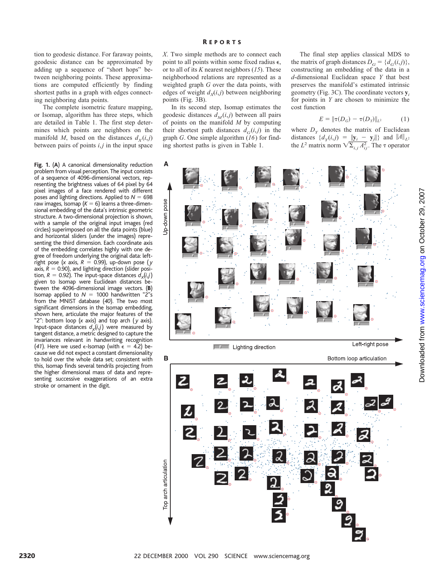tion to geodesic distance. For faraway points, geodesic distance can be approximated by adding up a sequence of "short hops" between neighboring points. These approximations are computed efficiently by finding shortest paths in a graph with edges connecting neighboring data points.

The complete isometric feature mapping, or Isomap, algorithm has three steps, which are detailed in Table 1. The first step determines which points are neighbors on the manifold *M*, based on the distances  $d<sub>X</sub>(i,j)$ between pairs of points *i*,*j* in the input space

**Fig. 1.** (**A**) A canonical dimensionality reduction problem from visual perception. The input consists of a sequence of 4096-dimensional vectors, representing the brightness values of 64 pixel by 64 pixel images of a face rendered with different poses and lighting directions. Applied to  $N = 698$ raw images, Isomap  $(K = 6)$  learns a three-dimensional embedding of the data's intrinsic geometric structure. A two-dimensional projection is shown, with a sample of the original input images (red circles) superimposed on all the data points (blue) and horizontal sliders (under the images) representing the third dimension. Each coordinate axis of the embedding correlates highly with one degree of freedom underlying the original data: leftright pose (*x* axis,  $R = 0.99$ ), up-down pose (*y* axis,  $R = 0.90$ ), and lighting direction (slider position,  $R = 0.92$ ). The input-space distances  $d_x(i,j)$ given to Isomap were Euclidean distances between the 4096-dimensional image vectors. (**B**) Isomap applied to  $N = 1000$  handwritten "2"s from the MNIST database (*40*). The two most significant dimensions in the Isomap embedding, shown here, articulate the major features of the "2": bottom loop (*x* axis) and top arch ( *y* axis). Input-space distances  $d_x(i,j)$  were measured by tangent distance, a metric designed to capture the invariances relevant in handwriting recognition (41). Here we used  $\epsilon$ -Isomap (with  $\epsilon = 4.2$ ) because we did not expect a constant dimensionality to hold over the whole data set; consistent with this, Isomap finds several tendrils projecting from the higher dimensional mass of data and representing successive exaggerations of an extra stroke or ornament in the digit.

*X*. Two simple methods are to connect each point to all points within some fixed radius  $\epsilon$ , or to all of its *K* nearest neighbors (*15*). These neighborhood relations are represented as a weighted graph *G* over the data points, with edges of weight  $d_x(i, j)$  between neighboring points (Fig. 3B).

In its second step, Isomap estimates the geodesic distances  $d_M(i,j)$  between all pairs of points on the manifold *M* by computing their shortest path distances  $d_G(i,j)$  in the graph *G*. One simple algorithm (*16*) for finding shortest paths is given in Table 1.

The final step applies classical MDS to the matrix of graph distances  $D_G = \{d_G(i,j)\},\$ constructing an embedding of the data in a *d*-dimensional Euclidean space *Y* that best preserves the manifold's estimated intrinsic geometry (Fig. 3C). The coordinate vectors **y***<sup>i</sup>* for points in *Y* are chosen to minimize the cost function

$$
E = ||\tau(D_G) - \tau(D_Y)||_{L^2}
$$
 (1)

where  $D<sub>y</sub>$  denotes the matrix of Euclidean distances  $\{d_y(i,j) = ||\mathbf{y}_i - \mathbf{y}_j||\}$  and  $\|A\|_{L^2}$ the *L*<sup>2</sup> matrix norm  $\sqrt{\sum_{i,j} A_{ij}^2}$ . The  $\tau$  operator

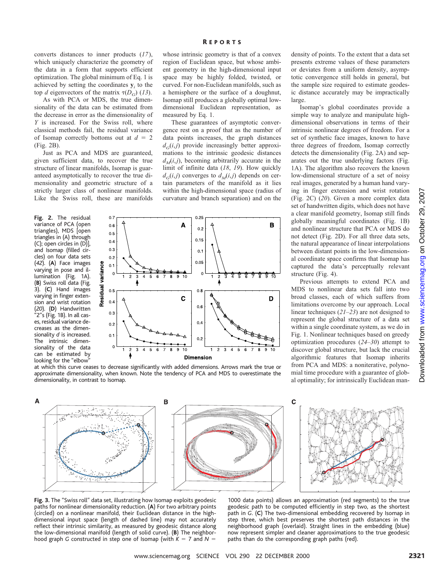converts distances to inner products (*17*), which uniquely characterize the geometry of the data in a form that supports efficient optimization. The global minimum of Eq. 1 is achieved by setting the coordinates  $y_i$  to the top *d* eigenvectors of the matrix  $\tau(D_G)$  (13).

As with PCA or MDS, the true dimensionality of the data can be estimated from the decrease in error as the dimensionality of *Y* is increased. For the Swiss roll, where classical methods fail, the residual variance of Isomap correctly bottoms out at  $d = 2$ (Fig. 2B).

Just as PCA and MDS are guaranteed, given sufficient data, to recover the true structure of linear manifolds, Isomap is guaranteed asymptotically to recover the true dimensionality and geometric structure of a strictly larger class of nonlinear manifolds. Like the Swiss roll, these are manifolds

**Fig. 2.** The residual variance of PCA (open triangles), MDS [open triangles in (A) through (C); open circles in (D)], and Isomap (filled circles) on four data sets (*42*). (**A**) Face images varying in pose and illumination (Fig. 1A). (**B**) Swiss roll data (Fig. 3). (**C**) Hand images varying in finger extension and wrist rotation (*20*). (**D**) Handwritten "2"s (Fig. 1B). In all cases, residual variance decreases as the dimensionality *d* is increased. The intrinsic dimensionality of the data can be estimated by looking for the "elbow"



whose intrinsic geometry is that of a convex region of Euclidean space, but whose ambient geometry in the high-dimensional input space may be highly folded, twisted, or curved. For non-Euclidean manifolds, such as a hemisphere or the surface of a doughnut, Isomap still produces a globally optimal lowdimensional Euclidean representation, as measured by Eq. 1.

These guarantees of asymptotic convergence rest on a proof that as the number of data points increases, the graph distances  $d_G(i,j)$  provide increasingly better approximations to the intrinsic geodesic distances  $d<sub>M</sub>(i,j)$ , becoming arbitrarily accurate in the limit of infinite data (*18*, *19*). How quickly  $d_G(i,j)$  converges to  $d_M(i,j)$  depends on certain parameters of the manifold as it lies within the high-dimensional space (radius of curvature and branch separation) and on the



at which this curve ceases to decrease significantly with added dimensions. Arrows mark the true or approximate dimensionality, when known. Note the tendency of PCA and MDS to overestimate the dimensionality, in contrast to Isomap.

density of points. To the extent that a data set presents extreme values of these parameters or deviates from a uniform density, asymptotic convergence still holds in general, but the sample size required to estimate geodesic distance accurately may be impractically large.

Isomap's global coordinates provide a simple way to analyze and manipulate highdimensional observations in terms of their intrinsic nonlinear degrees of freedom. For a set of synthetic face images, known to have three degrees of freedom, Isomap correctly detects the dimensionality (Fig. 2A) and separates out the true underlying factors (Fig. 1A). The algorithm also recovers the known low-dimensional structure of a set of noisy real images, generated by a human hand varying in finger extension and wrist rotation (Fig. 2C) (*20*). Given a more complex data set of handwritten digits, which does not have a clear manifold geometry, Isomap still finds globally meaningful coordinates (Fig. 1B) and nonlinear structure that PCA or MDS do not detect (Fig. 2D). For all three data sets, the natural appearance of linear interpolations between distant points in the low-dimensional coordinate space confirms that Isomap has captured the data's perceptually relevant structure (Fig. 4).

Previous attempts to extend PCA and MDS to nonlinear data sets fall into two broad classes, each of which suffers from limitations overcome by our approach. Local linear techniques (*21*–*23*) are not designed to represent the global structure of a data set within a single coordinate system, as we do in Fig. 1. Nonlinear techniques based on greedy optimization procedures (*24*–*30*) attempt to discover global structure, but lack the crucial algorithmic features that Isomap inherits from PCA and MDS: a noniterative, polynomial time procedure with a guarantee of global optimality; for intrinsically Euclidean man-



**Fig. 3.** The "Swiss roll" data set, illustrating how Isomap exploits geodesic paths for nonlinear dimensionality reduction. (**A**) For two arbitrary points (circled) on a nonlinear manifold, their Euclidean distance in the highdimensional input space (length of dashed line) may not accurately reflect their intrinsic similarity, as measured by geodesic distance along the low-dimensional manifold (length of solid curve). (**B**) The neighborhood graph *G* constructed in step one of Isomap (with  $K = 7$  and  $N = 1$ 

1000 data points) allows an approximation (red segments) to the true geodesic path to be computed efficiently in step two, as the shortest path in *G*. (**C**) The two-dimensional embedding recovered by Isomap in step three, which best preserves the shortest path distances in the neighborhood graph (overlaid). Straight lines in the embedding (blue) now represent simpler and cleaner approximations to the true geodesic paths than do the corresponding graph paths (red).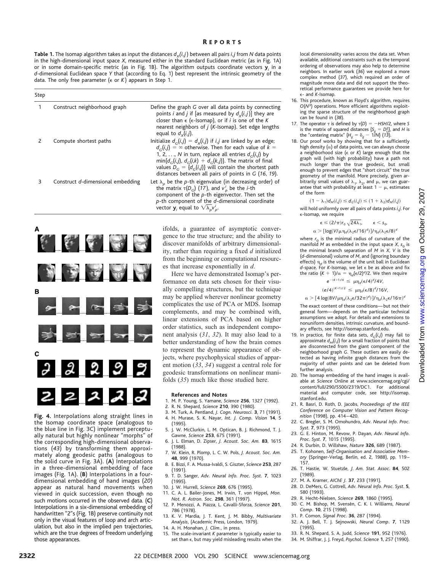**Table 1.** The Isomap algorithm takes as input the distances  $d_x(i,j)$  between all pairs *i*, *j* from *N* data points in the high-dimensional input space *X*, measured either in the standard Euclidean metric (as in Fig. 1A) or in some domain-specific metric (as in Fig. 1B). The algorithm outputs coordinate vectors **y***<sup>i</sup>* in a *d*-dimensional Euclidean space *Y* that (according to Eq. 1) best represent the intrinsic geometry of the data. The only free parameter (e or *K* ) appears in Step 1.

| Step |                                   |                                                                                                                                                                                                                                                                                                                                                                                  |
|------|-----------------------------------|----------------------------------------------------------------------------------------------------------------------------------------------------------------------------------------------------------------------------------------------------------------------------------------------------------------------------------------------------------------------------------|
| 1    | Construct neighborhood graph      | Define the graph G over all data points by connecting<br>points <i>i</i> and <i>j</i> if [as measured by $d_v(i, j)$ ] they are<br>closer than $\epsilon$ ( $\epsilon$ -Isomap), or if <i>i</i> is one of the K<br>nearest neighbors of <i>j</i> ( <i>K</i> -Isomap). Set edge lengths<br>equal to $d_v(i,j)$ .                                                                  |
| 2    | Compute shortest paths            | Initialize $d_c(i,j) = d_x(i,j)$ if i,j are linked by an edge;<br>$d_c(i, i) = \infty$ otherwise. Then for each value of $k =$<br>1, 2, , N in turn, replace all entries $d_c(i,j)$ by<br>$min{d_c(i, i), d_c(i, k) + d_c(k, i)}$ . The matrix of final<br>values $D_c = \{d_c(i,j)\}\$ will contain the shortest path<br>distances between all pairs of points in $G$ (16, 19). |
| 3    | Construct d-dimensional embedding | Let $\lambda_{p}$ be the p-th eigenvalue (in decreasing order) of<br>the matrix $\tau(D_G)$ (17), and $v_p^i$ be the <i>i</i> -th<br>component of the $p$ -th eigenvector. Then set the<br>$p$ -th component of the $d$ -dimensional coordinate<br>vector $\mathbf{y}_i$ equal to $\sqrt{\lambda_p}v_p^i$ .                                                                      |



the Isomap coordinate space (analogous to the blue line in Fig. 3C) implement perceptually natural but highly nonlinear "morphs" of the corresponding high-dimensional observations (*43*) by transforming them approximately along geodesic paths (analogous to the solid curve in Fig. 3A). (**A**) Interpolations in a three-dimensional embedding of face images (Fig. 1A). (**B**) Interpolations in a fourdimensional embedding of hand images (*20*) appear as natural hand movements when viewed in quick succession, even though no such motions occurred in the observed data. (**C**) Interpolations in a six-dimensional embedding of handwritten "2"s (Fig. 1B) preserve continuity not only in the visual features of loop and arch articulation, but also in the implied pen trajectories, which are the true degrees of freedom underlying those appearances.

ifolds, a guarantee of asymptotic convergence to the true structure; and the ability to discover manifolds of arbitrary dimensionality, rather than requiring a fixed *d* initialized from the beginning or computational resources that increase exponentially in *d*.

Here we have demonstrated Isomap's performance on data sets chosen for their visually compelling structures, but the technique may be applied wherever nonlinear geometry complicates the use of PCA or MDS. Isomap complements, and may be combined with, linear extensions of PCA based on higher order statistics, such as independent component analysis (*31*, *32*). It may also lead to a better understanding of how the brain comes to represent the dynamic appearance of objects, where psychophysical studies of apparent motion (*33*, *34*) suggest a central role for geodesic transformations on nonlinear manifolds (*35*) much like those studied here.

#### **References and Notes**

- 1. M. P. Young, S. Yamane, *Science* **256**, 1327 (1992).
- 2. R. N. Shepard, *Science* **210**, 390 (1980).
- 3. M. Turk, A. Pentland, *J. Cogn. Neurosci.* **3**, 71 (1991).
- 4. H. Murase, S. K. Nayar, *Int. J. Comp. Vision* **14**, 5 (1995).
- 5. J. W. McClurkin, L. M. Optican, B. J. Richmond, T. J. Gawne, *Science* **253**, 675 (1991).
- 6. J. L. Elman, D. Zipser, *J. Acoust. Soc. Am.* **83**, 1615 (1988).
- 7. W. Klein, R. Plomp, L. C. W. Pols, *J. Acoust. Soc. Am.* **48**, 999 (1970).
- 8. E. Bizzi, F. A. Mussa-Ivaldi, S. Giszter, *Science* **253**, 287 (1991).
- 9. T. D. Sanger, *Adv. Neural Info. Proc. Syst.* **7**, 1023 (1995).
- 10. J. W. Hurrell, *Science* **269**, 676 (1995).
- 11. C. A. L. Bailer-Jones, M. Irwin, T. von Hippel, *Mon. Not. R. Astron. Soc.* **298**, 361 (1997).
- 12. P. Menozzi, A. Piazza, L. Cavalli-Sforza, *Science* **201**, 786 (1978).
- 13. K. V. Mardia, J. T. Kent, J. M. Bibby, *Multivariate Analysis*, (Academic Press, London, 1979).
- 14. A. H. Monahan, *J. Clim.*, in press.
- 15. The scale-invariant *K* parameter is typically easier to set than  $\epsilon$ , but may yield misleading results when the

local dimensionality varies across the data set. When available, additional constraints such as the temporal ordering of observations may also help to determine neighbors. In earlier work (*36*) we explored a more complex method (*37*), which required an order of magnitude more data and did not support the theoretical performance guarantees we provide here for e- and *K*-Isomap.

- 16. This procedure, known as Floyd's algorithm, requires *O*(*N*3) operations. More efficient algorithms exploiting the sparse structure of the neighborhood graph can be found in (*38*).
- 17. The operator  $\tau$  is defined by  $\tau(D) = -HSH/2$ , where *S* is the matrix of squared distances  $\{S_{ij} = D_{ij}^2\}$ , and *H* is the "centering matrix"  $\{H_{ij} = \delta_{ij} - 1/N\}$  (13).
- 18. Our proof works by showing that for a sufficiently high density  $(\alpha)$  of data points, we can always choose a neighborhood size (e or *K*) large enough that the graph will (with high probability) have a path not much longer than the true geodesic, but small enough to prevent edges that "short circuit" the true geometry of the manifold. More precisely, given arbitrarily small values of  $\lambda_1$ ,  $\lambda_2$ , and  $\mu$ , we can guarantee that with probability at least  $1 - \mu$ , estimates of the form

 $(1 - \lambda_1) d_M(i,j) \leq d_G(i,j) \leq (1 + \lambda_2) d_M(i,j)$ 

will hold uniformly over all pairs of data points *i*, *j*. For e-Isomap, we require

$$
\varepsilon \leq (2/\pi) r_0 \sqrt{24\lambda_1}, \qquad \varepsilon < s_0,
$$

$$
\alpha > [\text{log}(V/\mu\eta_d(\lambda_2\varepsilon/16)^d)]/\eta_d(\lambda_2\varepsilon/8)^d
$$

where  $r_0$  is the minimal radius of curvature of the manifold  $M$  as embedded in the input space  $X$ ,  $s_0$  is the minimal branch separation of *M* in *X*, *V* is the (*d*-dimensional) volume of *M*, and (ignoring boundary effects)  $\eta_d$  is the volume of the unit ball in Euclidean *d*-space. For *K*-Isomap, we let e be as above and fix the ratio  $(K + 1)/\alpha = \eta_d (\epsilon/2)^d/2$ . We then require

$$
e^{-(K+1)/4} \le \mu \eta_d (\epsilon/4)^d/4V,
$$
  
\n $(e/4)^{(K+1)/2} \le \mu \eta_d (\epsilon/8)^d/16V,$ 

 $\alpha$   $>$   $[$  4 log(8*V*/ $\mu$  $\eta_d(\lambda_2 \epsilon/32\pi)^d$ )]/ $\eta_d(\lambda_2 \epsilon/16\pi)^d$ 

The exact content of these conditions—but not their general form—depends on the particular technical assumptions we adopt. For details and extensions to nonuniform densities, intrinsic curvature, and boundary effects, see http://isomap.stanford.edu.

- 19. In practice, for finite data sets,  $d_G(i,j)$  may fail to approximate  $d_M(i,j)$  for a small fraction of points that are disconnected from the giant component of the neighborhood graph *G*. These outliers are easily detected as having infinite graph distances from the majority of other points and can be deleted from further analysis.
- 20. The Isomap embedding of the hand images is available at *Science* Online at www.sciencemag.org/cgi/ content/full/290/5500/2319/DC1. For additional material and computer code, see http://isomap. stanford.edu.
- 21. R. Basri, D. Roth, D. Jacobs, *Proceedings of the IEEE Conference on Computer Vision and Pattern Recognition* (1998), pp. 414–420.
- 22. C. Bregler, S. M. Omohundro, *Adv*. *Neural Info*. *Proc*. *Syst*. **7**, 973 (1995).
- 23. G. E. Hinton, M. Revow, P. Dayan, *Adv*. *Neural Info*. *Proc*. *Syst*. **7**, 1015 (1995).
- 24. R. Durbin, D. Willshaw, *Nature* **326**, 689 (1987).
- 25. T. Kohonen, *Self-Organisation and Associative Memory* (Springer-Verlag, Berlin, ed. 2, 1988), pp. 119– 157.
- 26. T. Hastie, W. Stuetzle, *J*. *Am*. *Stat*. *Assoc*. **84**, 502 (1989).
- 27. M. A. Kramer, *AIChE J.* **37**, 233 (1991).
- 28. D. DeMers, G. Cottrell, *Adv*. *Neural Info*. *Proc*. *Syst*. **5**, 580 (1993).
- 29. R. Hecht-Nielsen, *Science* **269**, 1860 (1995). 30. C. M. Bishop, M. Svense´n, C. K. I. Williams, *Neural Comp*. **10**, 215 (1998).
- 31. P. Comon, *Signal Proc*. **36**, 287 (1994).
- 32. A. J. Bell, T. J. Sejnowski, *Neural Comp*. **7**, 1129 (1995).
- 33. R. N. Shepard, S. A. Judd, *Science* **191**, 952 (1976).
- 34. M. Shiffrar, J. J. Freyd, *Psychol*. *Science* **1**, 257 (1990).